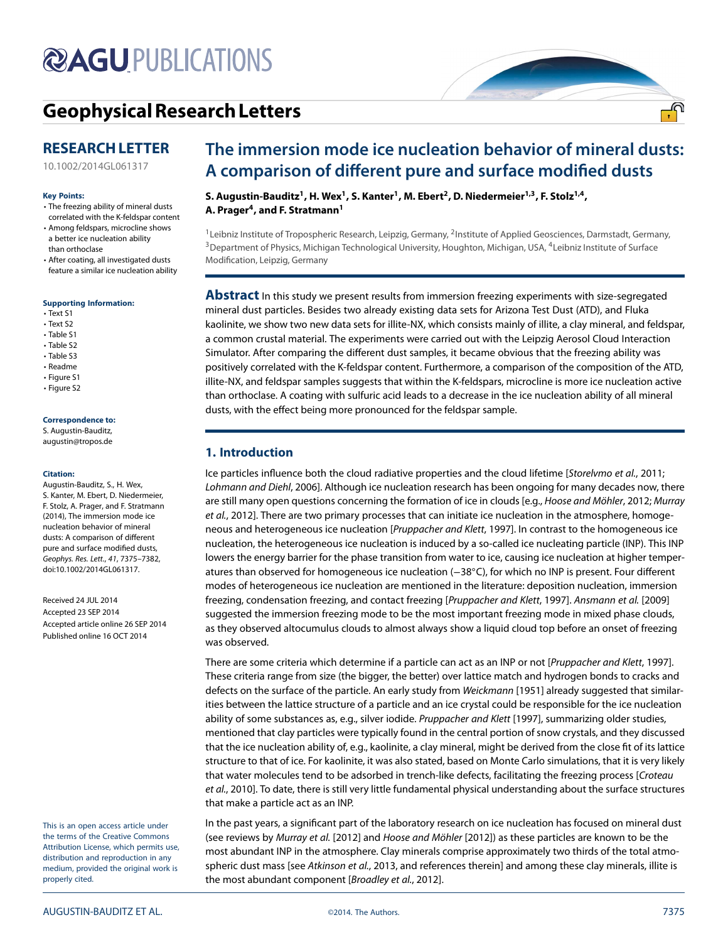# **@AGUPUBLICATIONS**

# **[GeophysicalResearch Letters](http://onlinelibrary.wiley.com/journal/10.1002/(ISSN)1944-8007)**

## **RESEARCH LETTER**

[10.1002/2014GL061317](http://dx.doi.org/10.1002/2014GL061317)

#### **Key Points:**

- The freezing ability of mineral dusts correlated with the K-feldspar content
- Among feldspars, microcline shows a better ice nucleation ability than orthoclase
- After coating, all investigated dusts feature a similar ice nucleation ability

#### **Supporting Information:**

- Text S1
- Text S2
- Table S1 • Table S2
- Table S3
- Readme
- Figure S1
- Figure S2

#### **Correspondence to:**

S. Augustin-Bauditz, augustin@tropos.de

#### **Citation:**

Augustin-Bauditz, S., H. Wex, S. Kanter, M. Ebert, D. Niedermeier, F. Stolz, A. Prager, and F. Stratmann (2014), The immersion mode ice nucleation behavior of mineral dusts: A comparison of different pure and surface modified dusts, Geophys. Res. Lett., 41, 7375–7382, doi:10.1002/2014GL061317.

Received 24 JUL 2014 Accepted 23 SEP 2014 Accepted article online 26 SEP 2014 Published online 16 OCT 2014

#### This is an open access article under the terms [of the](http://creativecommons.org/licenses/by/3.0/) Creative Commons Attribution License, which permits use, distribution and reproduction in any medium, provided the original work is properly cited.

## **The immersion mode ice nucleation behavior of mineral dusts: A comparison of different pure and surface modified dusts**

S. Augustin-Bauditz<sup>1</sup>, H. Wex<sup>1</sup>, S. Kanter<sup>1</sup>, M. Ebert<sup>2</sup>, D. Niedermeier<sup>1,3</sup>, F. Stolz<sup>1,4</sup>, **A. Prager4, and F. Stratmann1**

<sup>1</sup> Leibniz Institute of Tropospheric Research, Leipzig, Germany, <sup>2</sup>Institute of Applied Geosciences, Darmstadt, Germany, <sup>3</sup> Department of Physics, Michigan Technological University, Houghton, Michigan, USA, <sup>4</sup>Leibniz Institute of Surface Modification, Leipzig, Germany

**Abstract** In this study we present results from immersion freezing experiments with size-segregated mineral dust particles. Besides two already existing data sets for Arizona Test Dust (ATD), and Fluka kaolinite, we show two new data sets for illite-NX, which consists mainly of illite, a clay mineral, and feldspar, a common crustal material. The experiments were carried out with the Leipzig Aerosol Cloud Interaction Simulator. After comparing the different dust samples, it became obvious that the freezing ability was positively correlated with the K-feldspar content. Furthermore, a comparison of the composition of the ATD, illite-NX, and feldspar samples suggests that within the K-feldspars, microcline is more ice nucleation active than orthoclase. A coating with sulfuric acid leads to a decrease in the ice nucleation ability of all mineral dusts, with the effect being more pronounced for the feldspar sample.

## **1. Introduction**

Ice particles influence both the cloud radiative properties and the cloud lifetime [Storelvmo et al., 2011; Lohmann and Diehl, 2006]. Although ice nucleation research has been ongoing for many decades now, there are still many open questions concerning the formation of ice in clouds [e.g., Hoose and Möhler, 2012; Murray et al., 2012]. There are two primary processes that can initiate ice nucleation in the atmosphere, homogeneous and heterogeneous ice nucleation [Pruppacher and Klett, 1997]. In contrast to the homogeneous ice nucleation, the heterogeneous ice nucleation is induced by a so-called ice nucleating particle (INP). This INP lowers the energy barrier for the phase transition from water to ice, causing ice nucleation at higher temperatures than observed for homogeneous ice nucleation (−38◦C), for which no INP is present. Four different modes of heterogeneous ice nucleation are mentioned in the literature: deposition nucleation, immersion freezing, condensation freezing, and contact freezing [Pruppacher and Klett, 1997]. Ansmann et al. [2009] suggested the immersion freezing mode to be the most important freezing mode in mixed phase clouds, as they observed altocumulus clouds to almost always show a liquid cloud top before an onset of freezing was observed.

There are some criteria which determine if a particle can act as an INP or not [Pruppacher and Klett, 1997]. These criteria range from size (the bigger, the better) over lattice match and hydrogen bonds to cracks and defects on the surface of the particle. An early study from Weickmann [1951] already suggested that similarities between the lattice structure of a particle and an ice crystal could be responsible for the ice nucleation ability of some substances as, e.g., silver iodide. Pruppacher and Klett [1997], summarizing older studies, mentioned that clay particles were typically found in the central portion of snow crystals, and they discussed that the ice nucleation ability of, e.g., kaolinite, a clay mineral, might be derived from the close fit of its lattice structure to that of ice. For kaolinite, it was also stated, based on Monte Carlo simulations, that it is very likely that water molecules tend to be adsorbed in trench-like defects, facilitating the freezing process [Croteau et al., 2010]. To date, there is still very little fundamental physical understanding about the surface structures that make a particle act as an INP.

In the past years, a significant part of the laboratory research on ice nucleation has focused on mineral dust (see reviews by Murray et al. [2012] and Hoose and Möhler [2012]) as these particles are known to be the most abundant INP in the atmosphere. Clay minerals comprise approximately two thirds of the total atmospheric dust mass [see Atkinson et al., 2013, and references therein] and among these clay minerals, illite is the most abundant component [Broadley et al., 2012].

<u>.എ</u>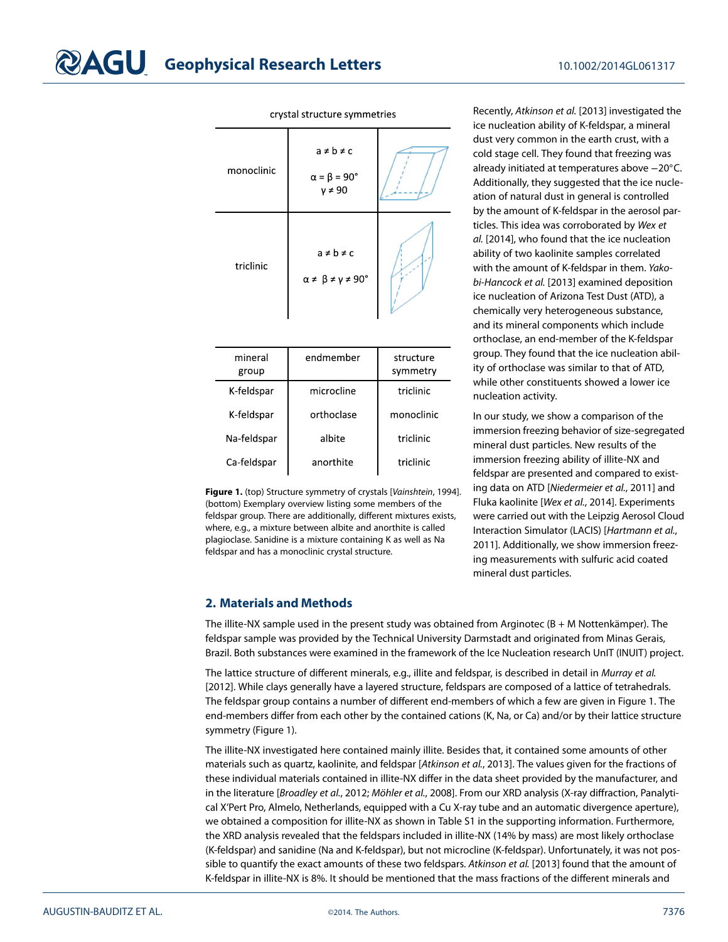| monoclinic | $a \neq b \neq c$<br>$\alpha = \beta = 90^\circ$<br>$y \neq 90$      |  |
|------------|----------------------------------------------------------------------|--|
| triclinic  | $a \neq b \neq c$<br>$\alpha \neq \beta \neq \gamma \neq 90^{\circ}$ |  |

crystal structure symmetries

mineral endmember structure group symmetry microcline K-feldspar triclinic K-feldspar orthoclase monoclinic Na-feldspar albite triclinic Ca-feldspar anorthite triclinic

<span id="page-1-0"></span>Figure 1. (top) Structure symmetry of crystals [Vainshtein, 1994]. (bottom) Exemplary overview listing some members of the feldspar group. There are additionally, different mixtures exists, where, e.g., a mixture between albite and anorthite is called plagioclase. Sanidine is a mixture containing K as well as Na feldspar and has a monoclinic crystal structure.

Recently, Atkinson et al. [2013] investigated the ice nucleation ability of K-feldspar, a mineral dust very common in the earth crust, with a cold stage cell. They found that freezing was already initiated at temperatures above −20◦C. Additionally, they suggested that the ice nucleation of natural dust in general is controlled by the amount of K-feldspar in the aerosol particles. This idea was corroborated by Wex et al. [2014], who found that the ice nucleation ability of two kaolinite samples correlated with the amount of K-feldspar in them. Yakobi-Hancock et al. [2013] examined deposition ice nucleation of Arizona Test Dust (ATD), a chemically very heterogeneous substance, and its mineral components which include orthoclase, an end-member of the K-feldspar group. They found that the ice nucleation ability of orthoclase was similar to that of ATD, while other constituents showed a lower ice nucleation activity.

In our study, we show a comparison of the immersion freezing behavior of size-segregated mineral dust particles. New results of the immersion freezing ability of illite-NX and feldspar are presented and compared to existing data on ATD [Niedermeier et al., 2011] and Fluka kaolinite [Wex et al., 2014]. Experiments were carried out with the Leipzig Aerosol Cloud Interaction Simulator (LACIS) [Hartmann et al., 2011]. Additionally, we show immersion freezing measurements with sulfuric acid coated mineral dust particles.

## **2. Materials and Methods**

The illite-NX sample used in the present study was obtained from Arginotec  $(B + M)$  Nottenkämper). The feldspar sample was provided by the Technical University Darmstadt and originated from Minas Gerais, Brazil. Both substances were examined in the framework of the Ice Nucleation research UnIT (INUIT) project.

The lattice structure of different minerals, e.g., illite and feldspar, is described in detail in Murray et al. [2012]. While clays generally have a layered structure, feldspars are composed of a lattice of tetrahedrals. The feldspar group contains a number of different end-members of which a few are given in Figure [1.](#page-1-0) The end-members differ from each other by the contained cations (K, Na, or Ca) and/or by their lattice structure symmetry (Figure [1\)](#page-1-0).

The illite-NX investigated here contained mainly illite. Besides that, it contained some amounts of other materials such as quartz, kaolinite, and feldspar [Atkinson et al., 2013]. The values given for the fractions of these individual materials contained in illite-NX differ in the data sheet provided by the manufacturer, and in the literature [Broadley et al., 2012; Möhler et al., 2008]. From our XRD analysis (X-ray diffraction, Panalytical X'Pert Pro, Almelo, Netherlands, equipped with a Cu X-ray tube and an automatic divergence aperture), we obtained a composition for illite-NX as shown in Table S1 in the supporting information. Furthermore, the XRD analysis revealed that the feldspars included in illite-NX (14% by mass) are most likely orthoclase (K-feldspar) and sanidine (Na and K-feldspar), but not microcline (K-feldspar). Unfortunately, it was not possible to quantify the exact amounts of these two feldspars. Atkinson et al. [2013] found that the amount of K-feldspar in illite-NX is 8%. It should be mentioned that the mass fractions of the different minerals and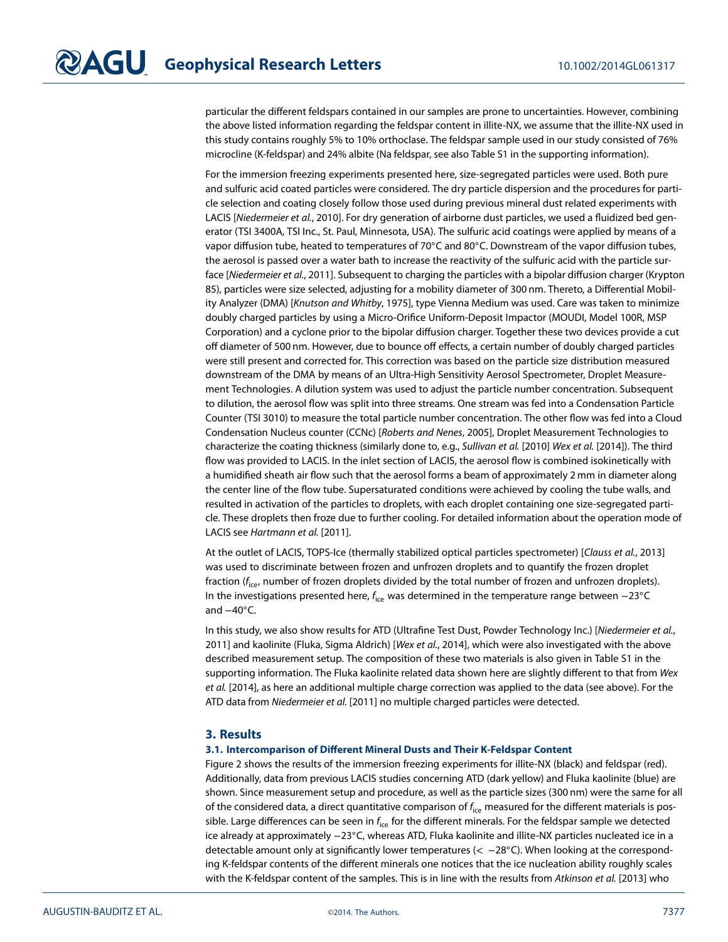particular the different feldspars contained in our samples are prone to uncertainties. However, combining the above listed information regarding the feldspar content in illite-NX, we assume that the illite-NX used in this study contains roughly 5% to 10% orthoclase. The feldspar sample used in our study consisted of 76% microcline (K-feldspar) and 24% albite (Na feldspar, see also Table S1 in the supporting information).

For the immersion freezing experiments presented here, size-segregated particles were used. Both pure and sulfuric acid coated particles were considered. The dry particle dispersion and the procedures for particle selection and coating closely follow those used during previous mineral dust related experiments with LACIS [Niedermeier et al., 2010]. For dry generation of airborne dust particles, we used a fluidized bed generator (TSI 3400A, TSI Inc., St. Paul, Minnesota, USA). The sulfuric acid coatings were applied by means of a vapor diffusion tube, heated to temperatures of 70◦C and 80◦C. Downstream of the vapor diffusion tubes, the aerosol is passed over a water bath to increase the reactivity of the sulfuric acid with the particle surface [Niedermeier et al., 2011]. Subsequent to charging the particles with a bipolar diffusion charger (Krypton 85), particles were size selected, adjusting for a mobility diameter of 300 nm. Thereto, a Differential Mobility Analyzer (DMA) [Knutson and Whitby, 1975], type Vienna Medium was used. Care was taken to minimize doubly charged particles by using a Micro-Orifice Uniform-Deposit Impactor (MOUDI, Model 100R, MSP Corporation) and a cyclone prior to the bipolar diffusion charger. Together these two devices provide a cut off diameter of 500 nm. However, due to bounce off effects, a certain number of doubly charged particles were still present and corrected for. This correction was based on the particle size distribution measured downstream of the DMA by means of an Ultra-High Sensitivity Aerosol Spectrometer, Droplet Measurement Technologies. A dilution system was used to adjust the particle number concentration. Subsequent to dilution, the aerosol flow was split into three streams. One stream was fed into a Condensation Particle Counter (TSI 3010) to measure the total particle number concentration. The other flow was fed into a Cloud Condensation Nucleus counter (CCNc) [Roberts and Nenes, 2005], Droplet Measurement Technologies to characterize the coating thickness (similarly done to, e.g., Sullivan et al. [2010] Wex et al. [2014]). The third flow was provided to LACIS. In the inlet section of LACIS, the aerosol flow is combined isokinetically with a humidified sheath air flow such that the aerosol forms a beam of approximately 2 mm in diameter along the center line of the flow tube. Supersaturated conditions were achieved by cooling the tube walls, and resulted in activation of the particles to droplets, with each droplet containing one size-segregated particle. These droplets then froze due to further cooling. For detailed information about the operation mode of LACIS see Hartmann et al. [2011].

At the outlet of LACIS, TOPS-Ice (thermally stabilized optical particles spectrometer) [Clauss et al., 2013] was used to discriminate between frozen and unfrozen droplets and to quantify the frozen droplet fraction ( $f_{\text{ice}}$ , number of frozen droplets divided by the total number of frozen and unfrozen droplets). In the investigations presented here, f<sub>ice</sub> was determined in the temperature range between −23<sup>°</sup>C and −40◦C.

In this study, we also show results for ATD (Ultrafine Test Dust, Powder Technology Inc.) [Niedermeier et al., 2011] and kaolinite (Fluka, Sigma Aldrich) [Wex et al., 2014], which were also investigated with the above described measurement setup. The composition of these two materials is also given in Table S1 in the supporting information. The Fluka kaolinite related data shown here are slightly different to that from Wex et al. [2014], as here an additional multiple charge correction was applied to the data (see above). For the ATD data from Niedermeier et al. [2011] no multiple charged particles were detected.

## **3. Results**

#### **3.1. Intercomparison of Different Mineral Dusts and Their K-Feldspar Content**

Figure [2](#page-3-0) shows the results of the immersion freezing experiments for illite-NX (black) and feldspar (red). Additionally, data from previous LACIS studies concerning ATD (dark yellow) and Fluka kaolinite (blue) are shown. Since measurement setup and procedure, as well as the particle sizes (300 nm) were the same for all of the considered data, a direct quantitative comparison of f<sub>ice</sub> measured for the different materials is possible. Large differences can be seen in  $f_{ice}$  for the different minerals. For the feldspar sample we detected ice already at approximately −23◦C, whereas ATD, Fluka kaolinite and illite-NX particles nucleated ice in a detectable amount only at significantly lower temperatures (*<* −28◦C). When looking at the corresponding K-feldspar contents of the different minerals one notices that the ice nucleation ability roughly scales with the K-feldspar content of the samples. This is in line with the results from Atkinson et al. [2013] who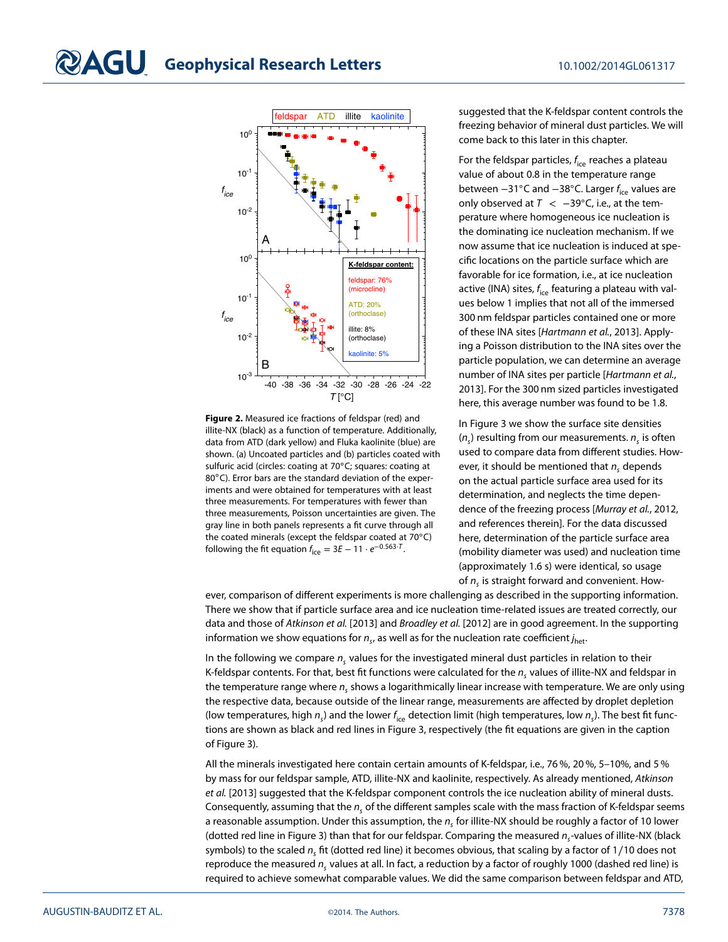

<span id="page-3-0"></span>**Figure 2.** Measured ice fractions of feldspar (red) and illite-NX (black) as a function of temperature. Additionally, data from ATD (dark yellow) and Fluka kaolinite (blue) are shown. (a) Uncoated particles and (b) particles coated with sulfuric acid (circles: coating at 70◦C; squares: coating at 80<sup>°</sup>C). Error bars are the standard deviation of the experiments and were obtained for temperatures with at least three measurements. For temperatures with fewer than three measurements, Poisson uncertainties are given. The gray line in both panels represents a fit curve through all the coated minerals (except the feldspar coated at 70◦C) following the fit equation  $f_{ice} = 3E - 11 \cdot e^{-0.563 \cdot T}$ .

suggested that the K-feldspar content controls the freezing behavior of mineral dust particles. We will come back to this later in this chapter.

For the feldspar particles,  $f_{ice}$  reaches a plateau value of about 0.8 in the temperature range between  $-31°C$  and  $-38°C$ . Larger  $f_{ice}$  values are only observed at T *<* −39◦C, i.e., at the temperature where homogeneous ice nucleation is the dominating ice nucleation mechanism. If we now assume that ice nucleation is induced at specific locations on the particle surface which are favorable for ice formation, i.e., at ice nucleation active (INA) sites,  $f_{ice}$  featuring a plateau with values below 1 implies that not all of the immersed 300 nm feldspar particles contained one or more of these INA sites [Hartmann et al., 2013]. Applying a Poisson distribution to the INA sites over the particle population, we can determine an average number of INA sites per particle [Hartmann et al., 2013]. For the 300 nm sized particles investigated here, this average number was found to be 1.8.

In Figure [3](#page-4-0) we show the surface site densities  $(n<sub>s</sub>)$  resulting from our measurements.  $n<sub>s</sub>$  is often used to compare data from different studies. However, it should be mentioned that  $n_s$  depends on the actual particle surface area used for its determination, and neglects the time dependence of the freezing process [Murray et al., 2012, and references therein]. For the data discussed here, determination of the particle surface area (mobility diameter was used) and nucleation time (approximately 1.6 s) were identical, so usage of  $n<sub>s</sub>$  is straight forward and convenient. How-

ever, comparison of different experiments is more challenging as described in the supporting information. There we show that if particle surface area and ice nucleation time-related issues are treated correctly, our data and those of Atkinson et al. [2013] and Broadley et al. [2012] are in good agreement. In the supporting information we show equations for  $n_{\rm s}$ , as well as for the nucleation rate coefficient  $j_{\rm het}$ .

In the following we compare  $n_s$  values for the investigated mineral dust particles in relation to their K-feldspar contents. For that, best fit functions were calculated for the  $n_s$  values of illite-NX and feldspar in the temperature range where  $n_s$  shows a logarithmically linear increase with temperature. We are only using the respective data, because outside of the linear range, measurements are affected by droplet depletion (low temperatures, high  $n_s$ ) and the lower  $f_{\text{ice}}$  detection limit (high temperatures, low  $n_s$ ). The best fit functions are shown as black and red lines in Figure [3,](#page-4-0) respectively (the fit equations are given in the caption of Figure [3\)](#page-4-0).

All the minerals investigated here contain certain amounts of K-feldspar, i.e., 76 %, 20 %, 5–10%, and 5 % by mass for our feldspar sample, ATD, illite-NX and kaolinite, respectively. As already mentioned, Atkinson et al. [2013] suggested that the K-feldspar component controls the ice nucleation ability of mineral dusts. Consequently, assuming that the  $n_s$  of the different samples scale with the mass fraction of K-feldspar seems a reasonable assumption. Under this assumption, the  $n_s$  for illite-NX should be roughly a factor of 10 lower (dotted red line in Figure [3\)](#page-4-0) than that for our feldspar. Comparing the measured  $n_s$ -values of illite-NX (black symbols) to the scaled  $n_s$  fit (dotted red line) it becomes obvious, that scaling by a factor of 1/10 does not reproduce the measured  $n_s$  values at all. In fact, a reduction by a factor of roughly 1000 (dashed red line) is required to achieve somewhat comparable values. We did the same comparison between feldspar and ATD,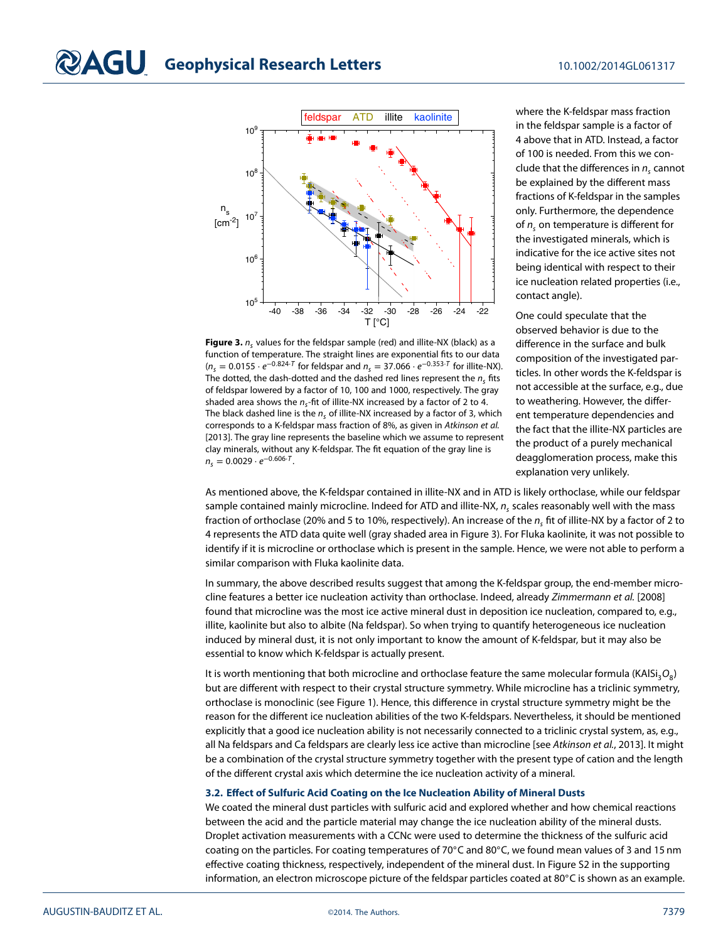

<span id="page-4-0"></span>**Figure 3.**  $n_s$  values for the feldspar sample (red) and illite-NX (black) as a function of temperature. The straight lines are exponential fits to our data  $(n_s = 0.0155 \cdot e^{-0.824 \cdot T}$  for feldspar and  $n_s = 37.066 \cdot e^{-0.353 \cdot T}$  for illite-NX). The dotted, the dash-dotted and the dashed red lines represent the  $n_s$  fits of feldspar lowered by a factor of 10, 100 and 1000, respectively. The gray shaded area shows the  $n<sub>c</sub>$ -fit of illite-NX increased by a factor of 2 to 4. The black dashed line is the  $n_s$  of illite-NX increased by a factor of 3, which corresponds to a K-feldspar mass fraction of 8%, as given in Atkinson et al. [2013]. The gray line represents the baseline which we assume to represent clay minerals, without any K-feldspar. The fit equation of the gray line is  $n_s = 0.0029 \cdot e^{-0.606 \cdot T}$ .

where the K-feldspar mass fraction in the feldspar sample is a factor of 4 above that in ATD. Instead, a factor of 100 is needed. From this we conclude that the differences in  $n_s$  cannot be explained by the different mass fractions of K-feldspar in the samples only. Furthermore, the dependence of  $n<sub>s</sub>$  on temperature is different for the investigated minerals, which is indicative for the ice active sites not being identical with respect to their ice nucleation related properties (i.e., contact angle).

One could speculate that the observed behavior is due to the difference in the surface and bulk composition of the investigated particles. In other words the K-feldspar is not accessible at the surface, e.g., due to weathering. However, the different temperature dependencies and the fact that the illite-NX particles are the product of a purely mechanical deagglomeration process, make this explanation very unlikely.

As mentioned above, the K-feldspar contained in illite-NX and in ATD is likely orthoclase, while our feldspar sample contained mainly microcline. Indeed for ATD and illite-NX,  $n<sub>c</sub>$  scales reasonably well with the mass fraction of orthoclase (20% and 5 to 10%, respectively). An increase of the  $n_s$  fit of illite-NX by a factor of 2 to 4 represents the ATD data quite well (gray shaded area in Figure [3\)](#page-4-0). For Fluka kaolinite, it was not possible to identify if it is microcline or orthoclase which is present in the sample. Hence, we were not able to perform a similar comparison with Fluka kaolinite data.

In summary, the above described results suggest that among the K-feldspar group, the end-member microcline features a better ice nucleation activity than orthoclase. Indeed, already Zimmermann et al. [2008] found that microcline was the most ice active mineral dust in deposition ice nucleation, compared to, e.g., illite, kaolinite but also to albite (Na feldspar). So when trying to quantify heterogeneous ice nucleation induced by mineral dust, it is not only important to know the amount of K-feldspar, but it may also be essential to know which K-feldspar is actually present.

It is worth mentioning that both microcline and orthoclase feature the same molecular formula (KAlSi<sub>3</sub>O<sub>8</sub>) but are different with respect to their crystal structure symmetry. While microcline has a triclinic symmetry, orthoclase is monoclinic (see Figure [1\)](#page-1-0). Hence, this difference in crystal structure symmetry might be the reason for the different ice nucleation abilities of the two K-feldspars. Nevertheless, it should be mentioned explicitly that a good ice nucleation ability is not necessarily connected to a triclinic crystal system, as, e.g., all Na feldspars and Ca feldspars are clearly less ice active than microcline [see Atkinson et al., 2013]. It might be a combination of the crystal structure symmetry together with the present type of cation and the length of the different crystal axis which determine the ice nucleation activity of a mineral.

### **3.2. Effect of Sulfuric Acid Coating on the Ice Nucleation Ability of Mineral Dusts**

We coated the mineral dust particles with sulfuric acid and explored whether and how chemical reactions between the acid and the particle material may change the ice nucleation ability of the mineral dusts. Droplet activation measurements with a CCNc were used to determine the thickness of the sulfuric acid coating on the particles. For coating temperatures of 70◦C and 80◦C, we found mean values of 3 and 15 nm effective coating thickness, respectively, independent of the mineral dust. In Figure S2 in the supporting information, an electron microscope picture of the feldspar particles coated at 80◦C is shown as an example.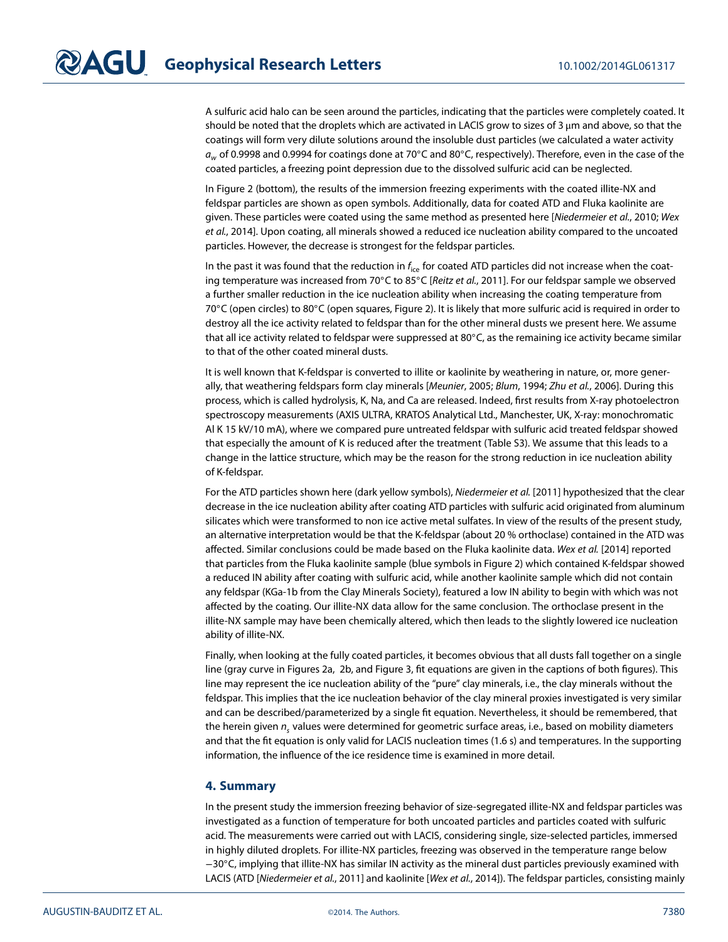A sulfuric acid halo can be seen around the particles, indicating that the particles were completely coated. It should be noted that the droplets which are activated in LACIS grow to sizes of 3 μm and above, so that the coatings will form very dilute solutions around the insoluble dust particles (we calculated a water activity  $a_w$  of 0.9998 and 0.9994 for coatings done at 70℃ and 80°C, respectively). Therefore, even in the case of the coated particles, a freezing point depression due to the dissolved sulfuric acid can be neglected.

In Figure [2](#page-3-0) (bottom), the results of the immersion freezing experiments with the coated illite-NX and feldspar particles are shown as open symbols. Additionally, data for coated ATD and Fluka kaolinite are given. These particles were coated using the same method as presented here [Niedermeier et al., 2010; Wex et al., 2014]. Upon coating, all minerals showed a reduced ice nucleation ability compared to the uncoated particles. However, the decrease is strongest for the feldspar particles.

In the past it was found that the reduction in  $f_{ice}$  for coated ATD particles did not increase when the coating temperature was increased from 70℃ to 85℃ [Reitz et al., 2011]. For our feldspar sample we observed a further smaller reduction in the ice nucleation ability when increasing the coating temperature from 70◦C (open circles) to 80◦C (open squares, Figure [2\)](#page-3-0). It is likely that more sulfuric acid is required in order to destroy all the ice activity related to feldspar than for the other mineral dusts we present here. We assume that all ice activity related to feldspar were suppressed at 80◦C, as the remaining ice activity became similar to that of the other coated mineral dusts.

It is well known that K-feldspar is converted to illite or kaolinite by weathering in nature, or, more generally, that weathering feldspars form clay minerals [Meunier, 2005; Blum, 1994; Zhu et al., 2006]. During this process, which is called hydrolysis, K, Na, and Ca are released. Indeed, first results from X-ray photoelectron spectroscopy measurements (AXIS ULTRA, KRATOS Analytical Ltd., Manchester, UK, X-ray: monochromatic Al K 15 kV/10 mA), where we compared pure untreated feldspar with sulfuric acid treated feldspar showed that especially the amount of K is reduced after the treatment (Table S3). We assume that this leads to a change in the lattice structure, which may be the reason for the strong reduction in ice nucleation ability of K-feldspar.

For the ATD particles shown here (dark yellow symbols), Niedermeier et al. [2011] hypothesized that the clear decrease in the ice nucleation ability after coating ATD particles with sulfuric acid originated from aluminum silicates which were transformed to non ice active metal sulfates. In view of the results of the present study, an alternative interpretation would be that the K-feldspar (about 20 % orthoclase) contained in the ATD was affected. Similar conclusions could be made based on the Fluka kaolinite data. Wex et al. [2014] reported that particles from the Fluka kaolinite sample (blue symbols in Figure [2\)](#page-3-0) which contained K-feldspar showed a reduced IN ability after coating with sulfuric acid, while another kaolinite sample which did not contain any feldspar (KGa-1b from the Clay Minerals Society), featured a low IN ability to begin with which was not affected by the coating. Our illite-NX data allow for the same conclusion. The orthoclase present in the illite-NX sample may have been chemically altered, which then leads to the slightly lowered ice nucleation ability of illite-NX.

Finally, when looking at the fully coated particles, it becomes obvious that all dusts fall together on a single line (gray curve in Figures [2a](#page-3-0), [2b](#page-3-0), and Figure [3,](#page-4-0) fit equations are given in the captions of both figures). This line may represent the ice nucleation ability of the "pure" clay minerals, i.e., the clay minerals without the feldspar. This implies that the ice nucleation behavior of the clay mineral proxies investigated is very similar and can be described/parameterized by a single fit equation. Nevertheless, it should be remembered, that the herein given  $n_s$  values were determined for geometric surface areas, i.e., based on mobility diameters and that the fit equation is only valid for LACIS nucleation times (1.6 s) and temperatures. In the supporting information, the influence of the ice residence time is examined in more detail.

## **4. Summary**

In the present study the immersion freezing behavior of size-segregated illite-NX and feldspar particles was investigated as a function of temperature for both uncoated particles and particles coated with sulfuric acid. The measurements were carried out with LACIS, considering single, size-selected particles, immersed in highly diluted droplets. For illite-NX particles, freezing was observed in the temperature range below −30◦C, implying that illite-NX has similar IN activity as the mineral dust particles previously examined with LACIS (ATD [Niedermeier et al., 2011] and kaolinite [Wex et al., 2014]). The feldspar particles, consisting mainly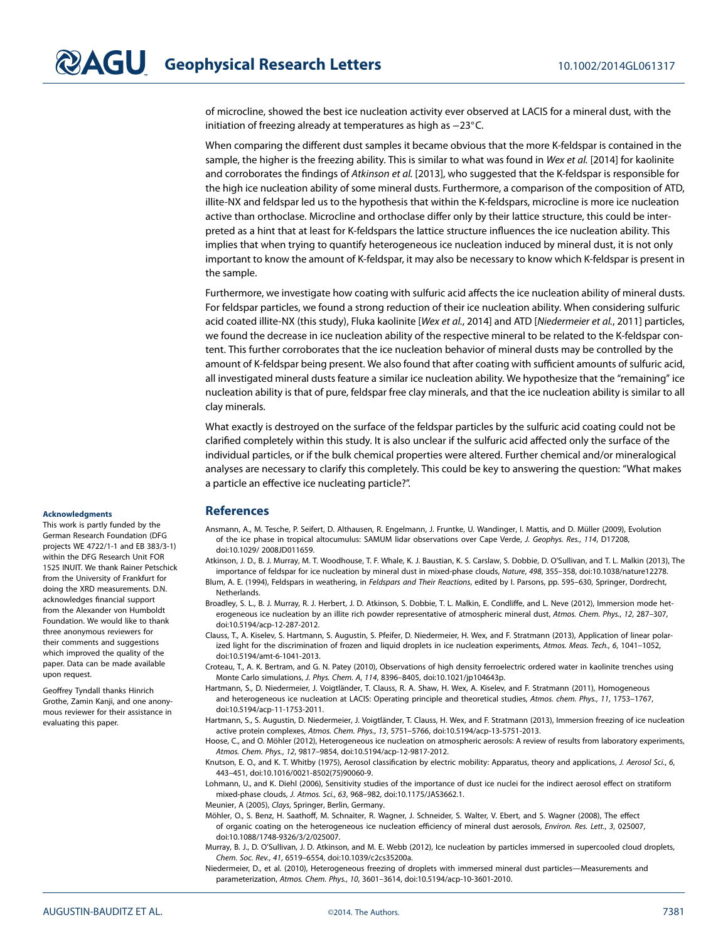of microcline, showed the best ice nucleation activity ever observed at LACIS for a mineral dust, with the initiation of freezing already at temperatures as high as −23◦C.

When comparing the different dust samples it became obvious that the more K-feldspar is contained in the sample, the higher is the freezing ability. This is similar to what was found in Wex et al. [2014] for kaolinite and corroborates the findings of Atkinson et al. [2013], who suggested that the K-feldspar is responsible for the high ice nucleation ability of some mineral dusts. Furthermore, a comparison of the composition of ATD, illite-NX and feldspar led us to the hypothesis that within the K-feldspars, microcline is more ice nucleation active than orthoclase. Microcline and orthoclase differ only by their lattice structure, this could be interpreted as a hint that at least for K-feldspars the lattice structure influences the ice nucleation ability. This implies that when trying to quantify heterogeneous ice nucleation induced by mineral dust, it is not only important to know the amount of K-feldspar, it may also be necessary to know which K-feldspar is present in the sample.

Furthermore, we investigate how coating with sulfuric acid affects the ice nucleation ability of mineral dusts. For feldspar particles, we found a strong reduction of their ice nucleation ability. When considering sulfuric acid coated illite-NX (this study), Fluka kaolinite [Wex et al., 2014] and ATD [Niedermeier et al., 2011] particles, we found the decrease in ice nucleation ability of the respective mineral to be related to the K-feldspar content. This further corroborates that the ice nucleation behavior of mineral dusts may be controlled by the amount of K-feldspar being present. We also found that after coating with sufficient amounts of sulfuric acid, all investigated mineral dusts feature a similar ice nucleation ability. We hypothesize that the "remaining" ice nucleation ability is that of pure, feldspar free clay minerals, and that the ice nucleation ability is similar to all clay minerals.

What exactly is destroyed on the surface of the feldspar particles by the sulfuric acid coating could not be clarified completely within this study. It is also unclear if the sulfuric acid affected only the surface of the individual particles, or if the bulk chemical properties were altered. Further chemical and/or mineralogical analyses are necessary to clarify this completely. This could be key to answering the question: "What makes a particle an effective ice nucleating particle?".

## **References**

- Ansmann, A., M. Tesche, P. Seifert, D. Althausen, R. Engelmann, J. Fruntke, U. Wandinger, I. Mattis, and D. Müller (2009), Evolution of the ice phase in tropical altocumulus: SAMUM lidar observations over Cape Verde, J. Geophys. Res., 114, D17208, doi[:10.1029/ 2008JD011659.](http://dx.doi.org/10.1029/ 2008JD011659)
- Atkinson, J. D., B. J. Murray, M. T. Woodhouse, T. F. Whale, K. J. Baustian, K. S. Carslaw, S. Dobbie, D. O'Sullivan, and T. L. Malkin (2013), The importance of feldspar for ice nucleation by mineral dust in mixed-phase clouds, Nature, 498, 355–358, doi[:10.1038/nature12278.](http://dx.doi.org/10.1038/nature12278)

Blum, A. E. (1994), Feldspars in weathering, in Feldspars and Their Reactions, edited by I. Parsons, pp. 595–630, Springer, Dordrecht, Netherlands.

- Broadley, S. L., B. J. Murray, R. J. Herbert, J. D. Atkinson, S. Dobbie, T. L. Malkin, E. Condliffe, and L. Neve (2012), Immersion mode heterogeneous ice nucleation by an illite rich powder representative of atmospheric mineral dust, Atmos. Chem. Phys., 12, 287–307, doi[:10.5194/acp-12-287-2012.](http://dx.doi.org/10.5194/acp-12-287-2012)
- Clauss, T., A. Kiselev, S. Hartmann, S. Augustin, S. Pfeifer, D. Niedermeier, H. Wex, and F. Stratmann (2013), Application of linear polarized light for the discrimination of frozen and liquid droplets in ice nucleation experiments, Atmos. Meas. Tech., 6, 1041-1052, doi[:10.5194/amt-6-1041-2013.](http://dx.doi.org/10.5194/amt-6-1041-2013)
- Croteau, T., A. K. Bertram, and G. N. Patey (2010), Observations of high density ferroelectric ordered water in kaolinite trenches using Monte Carlo simulations, J. Phys. Chem. A, 114, 8396–8405, doi[:10.1021/jp104643p.](http://dx.doi.org/10.1021/jp104643p)
- Hartmann, S., D. Niedermeier, J. Voigtländer, T. Clauss, R. A. Shaw, H. Wex, A. Kiselev, and F. Stratmann (2011), Homogeneous and heterogeneous ice nucleation at LACIS: Operating principle and theoretical studies, Atmos. chem. Phys., 11, 1753–1767, doi[:10.5194/acp-11-1753-2011.](http://dx.doi.org/10.5194/acp-11-1753-2011)
- Hartmann, S., S. Augustin, D. Niedermeier, J. Voigtländer, T. Clauss, H. Wex, and F. Stratmann (2013), Immersion freezing of ice nucleation active protein complexes, Atmos. Chem. Phys., 13, 5751–5766, doi[:10.5194/acp-13-5751-2013.](http://dx.doi.org/10.5194/acp-13-5751-2013)
- Hoose, C., and O. Möhler (2012), Heterogeneous ice nucleation on atmospheric aerosols: A review of results from laboratory experiments, Atmos. Chem. Phys., 12, 9817–9854, doi[:10.5194/acp-12-9817-2012.](http://dx.doi.org/10.5194/acp-12-9817-2012)
- Knutson, E. O., and K. T. Whitby (1975), Aerosol classification by electric mobility: Apparatus, theory and applications, J. Aerosol Sci., 6, 443–451, doi[:10.1016/0021-8502\(75\)90060-9.](http://dx.doi.org/10.1016/0021-8502(75)90060-9)
- Lohmann, U., and K. Diehl (2006), Sensitivity studies of the importance of dust ice nuclei for the indirect aerosol effect on stratiform mixed-phase clouds, J. Atmos. Sci., 63, 968–982, doi[:10.1175/JAS3662.1.](http://dx.doi.org/10.1175/JAS3662.1)

Meunier, A (2005), Clays, Springer, Berlin, Germany.

- Möhler, O., S. Benz, H. Saathoff, M. Schnaiter, R. Wagner, J. Schneider, S. Walter, V. Ebert, and S. Wagner (2008), The effect of organic coating on the heterogeneous ice nucleation efficiency of mineral dust aerosols, Environ. Res. Lett., 3, 025007, doi[:10.1088/1748-9326/3/2/025007.](http://dx.doi.org/10.1088/1748-9326/3/2/025007)
- Murray, B. J., D. O'Sullivan, J. D. Atkinson, and M. E. Webb (2012), Ice nucleation by particles immersed in supercooled cloud droplets, Chem. Soc. Rev., 41, 6519–6554, doi[:10.1039/c2cs35200a.](http://dx.doi.org/10.1039/c2cs35200a)
- Niedermeier, D., et al. (2010), Heterogeneous freezing of droplets with immersed mineral dust particles—Measurements and parameterization, Atmos. Chem. Phys., 10, 3601–3614, doi[:10.5194/acp-10-3601-2010.](http://dx.doi.org/10.5194/acp-10-3601-2010)

#### **Acknowledgments**

This work is partly funded by the German Research Foundation (DFG projects WE 4722/1-1 and EB 383/3-1) within the DFG Research Unit FOR 1525 INUIT. We thank Rainer Petschick from the University of Frankfurt for doing the XRD measurements. D.N. acknowledges financial support from the Alexander von Humboldt Foundation. We would like to thank three anonymous reviewers for their comments and suggestions which improved the quality of the paper. Data can be made available upon request.

Geoffrey Tyndall thanks Hinrich Grothe, Zamin Kanji, and one anonymous reviewer for their assistance in evaluating this paper.